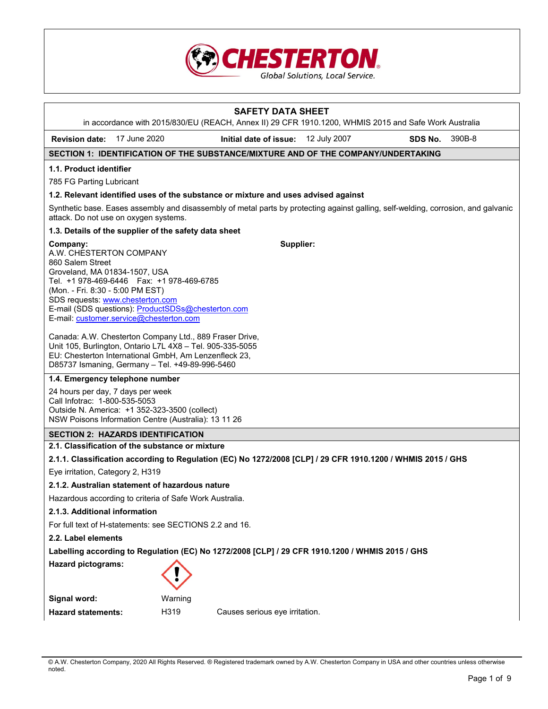

|                                                                                                                                                                                                                                                                                                                   |                                                                                                                                                                                                                                  | <b>SAFETY DATA SHEET</b>                                                                              |  |         |        |  |
|-------------------------------------------------------------------------------------------------------------------------------------------------------------------------------------------------------------------------------------------------------------------------------------------------------------------|----------------------------------------------------------------------------------------------------------------------------------------------------------------------------------------------------------------------------------|-------------------------------------------------------------------------------------------------------|--|---------|--------|--|
|                                                                                                                                                                                                                                                                                                                   |                                                                                                                                                                                                                                  | in accordance with 2015/830/EU (REACH, Annex II) 29 CFR 1910.1200, WHMIS 2015 and Safe Work Australia |  |         |        |  |
| Revision date: 17 June 2020                                                                                                                                                                                                                                                                                       |                                                                                                                                                                                                                                  | Initial date of issue: 12 July 2007                                                                   |  | SDS No. | 390B-8 |  |
| SECTION 1: IDENTIFICATION OF THE SUBSTANCE/MIXTURE AND OF THE COMPANY/UNDERTAKING                                                                                                                                                                                                                                 |                                                                                                                                                                                                                                  |                                                                                                       |  |         |        |  |
| 1.1. Product identifier                                                                                                                                                                                                                                                                                           |                                                                                                                                                                                                                                  |                                                                                                       |  |         |        |  |
| 785 FG Parting Lubricant                                                                                                                                                                                                                                                                                          |                                                                                                                                                                                                                                  |                                                                                                       |  |         |        |  |
| 1.2. Relevant identified uses of the substance or mixture and uses advised against                                                                                                                                                                                                                                |                                                                                                                                                                                                                                  |                                                                                                       |  |         |        |  |
| Synthetic base. Eases assembly and disassembly of metal parts by protecting against galling, self-welding, corrosion, and galvanic<br>attack. Do not use on oxygen systems.                                                                                                                                       |                                                                                                                                                                                                                                  |                                                                                                       |  |         |        |  |
| 1.3. Details of the supplier of the safety data sheet                                                                                                                                                                                                                                                             |                                                                                                                                                                                                                                  |                                                                                                       |  |         |        |  |
| Company:<br>A.W. CHESTERTON COMPANY<br>860 Salem Street<br>Groveland, MA 01834-1507, USA<br>Tel. +1 978-469-6446    Fax: +1 978-469-6785<br>(Mon. - Fri. 8:30 - 5:00 PM EST)<br>SDS requests: www.chesterton.com<br>E-mail (SDS questions): ProductSDSs@chesterton.com<br>E-mail: customer.service@chesterton.com |                                                                                                                                                                                                                                  | Supplier:                                                                                             |  |         |        |  |
|                                                                                                                                                                                                                                                                                                                   | Canada: A.W. Chesterton Company Ltd., 889 Fraser Drive,<br>Unit 105, Burlington, Ontario L7L 4X8 - Tel. 905-335-5055<br>EU: Chesterton International GmbH, Am Lenzenfleck 23,<br>D85737 Ismaning, Germany - Tel. +49-89-996-5460 |                                                                                                       |  |         |        |  |
| 1.4. Emergency telephone number                                                                                                                                                                                                                                                                                   |                                                                                                                                                                                                                                  |                                                                                                       |  |         |        |  |
| 24 hours per day, 7 days per week<br>Call Infotrac: 1-800-535-5053<br>Outside N. America: +1 352-323-3500 (collect)<br>NSW Poisons Information Centre (Australia): 13 11 26                                                                                                                                       |                                                                                                                                                                                                                                  |                                                                                                       |  |         |        |  |
| <b>SECTION 2: HAZARDS IDENTIFICATION</b>                                                                                                                                                                                                                                                                          |                                                                                                                                                                                                                                  |                                                                                                       |  |         |        |  |
| 2.1. Classification of the substance or mixture                                                                                                                                                                                                                                                                   |                                                                                                                                                                                                                                  |                                                                                                       |  |         |        |  |
| 2.1.1. Classification according to Regulation (EC) No 1272/2008 [CLP] / 29 CFR 1910.1200 / WHMIS 2015 / GHS                                                                                                                                                                                                       |                                                                                                                                                                                                                                  |                                                                                                       |  |         |        |  |
| Eye irritation, Category 2, H319                                                                                                                                                                                                                                                                                  |                                                                                                                                                                                                                                  |                                                                                                       |  |         |        |  |
| 2.1.2. Australian statement of hazardous nature                                                                                                                                                                                                                                                                   |                                                                                                                                                                                                                                  |                                                                                                       |  |         |        |  |
| Hazardous according to criteria of Safe Work Australia.                                                                                                                                                                                                                                                           |                                                                                                                                                                                                                                  |                                                                                                       |  |         |        |  |
|                                                                                                                                                                                                                                                                                                                   | 2.1.3. Additional information                                                                                                                                                                                                    |                                                                                                       |  |         |        |  |
| 2.2. Label elements                                                                                                                                                                                                                                                                                               | For full text of H-statements: see SECTIONS 2.2 and 16.                                                                                                                                                                          |                                                                                                       |  |         |        |  |
| Labelling according to Regulation (EC) No 1272/2008 [CLP] / 29 CFR 1910.1200 / WHMIS 2015 / GHS                                                                                                                                                                                                                   |                                                                                                                                                                                                                                  |                                                                                                       |  |         |        |  |
| <b>Hazard pictograms:</b>                                                                                                                                                                                                                                                                                         |                                                                                                                                                                                                                                  |                                                                                                       |  |         |        |  |
|                                                                                                                                                                                                                                                                                                                   |                                                                                                                                                                                                                                  |                                                                                                       |  |         |        |  |
| Signal word:                                                                                                                                                                                                                                                                                                      | Warning                                                                                                                                                                                                                          |                                                                                                       |  |         |        |  |
| <b>Hazard statements:</b>                                                                                                                                                                                                                                                                                         | H319                                                                                                                                                                                                                             | Causes serious eye irritation.                                                                        |  |         |        |  |

<sup>©</sup> A.W. Chesterton Company, 2020 All Rights Reserved. ® Registered trademark owned by A.W. Chesterton Company in USA and other countries unless otherwise noted.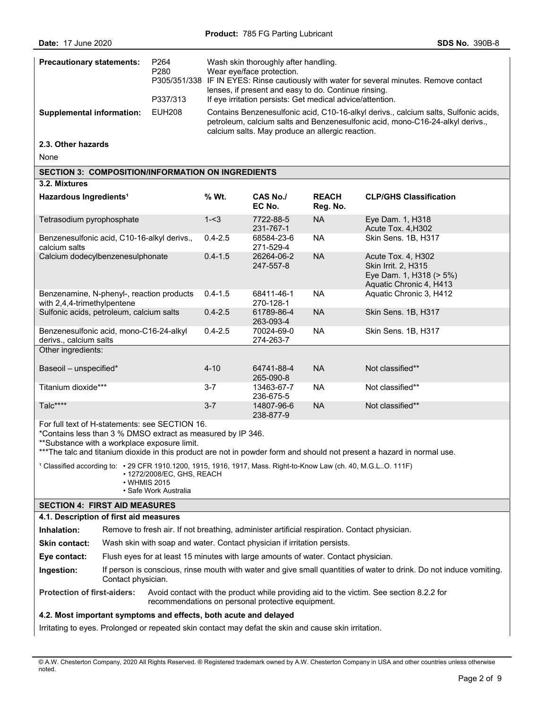| <b>Precautionary statements:</b>                                                                                                                                                                                                                                                                                                                                                                                                                                                  |                                                                                                                                           | P264<br>P280<br>P305/351/338 |                         | Wash skin thoroughly after handling.<br>Wear eye/face protection.<br>IF IN EYES: Rinse cautiously with water for several minutes. Remove contact |                                                                                                        |                                                                                                                                                                      |  |  |
|-----------------------------------------------------------------------------------------------------------------------------------------------------------------------------------------------------------------------------------------------------------------------------------------------------------------------------------------------------------------------------------------------------------------------------------------------------------------------------------|-------------------------------------------------------------------------------------------------------------------------------------------|------------------------------|-------------------------|--------------------------------------------------------------------------------------------------------------------------------------------------|--------------------------------------------------------------------------------------------------------|----------------------------------------------------------------------------------------------------------------------------------------------------------------------|--|--|
|                                                                                                                                                                                                                                                                                                                                                                                                                                                                                   |                                                                                                                                           | P337/313                     |                         | lenses, if present and easy to do. Continue rinsing.<br>If eye irritation persists: Get medical advice/attention.                                |                                                                                                        |                                                                                                                                                                      |  |  |
| <b>Supplemental information:</b>                                                                                                                                                                                                                                                                                                                                                                                                                                                  |                                                                                                                                           | <b>EUH208</b>                |                         | calcium salts. May produce an allergic reaction.                                                                                                 |                                                                                                        | Contains Benzenesulfonic acid, C10-16-alkyl derivs., calcium salts, Sulfonic acids,<br>petroleum, calcium salts and Benzenesulfonic acid, mono-C16-24-alkyl derivs., |  |  |
| 2.3. Other hazards                                                                                                                                                                                                                                                                                                                                                                                                                                                                |                                                                                                                                           |                              |                         |                                                                                                                                                  |                                                                                                        |                                                                                                                                                                      |  |  |
| None                                                                                                                                                                                                                                                                                                                                                                                                                                                                              |                                                                                                                                           |                              |                         |                                                                                                                                                  |                                                                                                        |                                                                                                                                                                      |  |  |
| <b>SECTION 3: COMPOSITION/INFORMATION ON INGREDIENTS</b>                                                                                                                                                                                                                                                                                                                                                                                                                          |                                                                                                                                           |                              |                         |                                                                                                                                                  |                                                                                                        |                                                                                                                                                                      |  |  |
| 3.2. Mixtures                                                                                                                                                                                                                                                                                                                                                                                                                                                                     |                                                                                                                                           |                              |                         |                                                                                                                                                  |                                                                                                        |                                                                                                                                                                      |  |  |
| Hazardous Ingredients <sup>1</sup>                                                                                                                                                                                                                                                                                                                                                                                                                                                |                                                                                                                                           |                              | % Wt.                   | <b>CAS No./</b><br>EC No.                                                                                                                        | <b>REACH</b><br>Reg. No.                                                                               | <b>CLP/GHS Classification</b>                                                                                                                                        |  |  |
| Tetrasodium pyrophosphate                                                                                                                                                                                                                                                                                                                                                                                                                                                         |                                                                                                                                           |                              | $1 - 3$                 | 7722-88-5<br>231-767-1                                                                                                                           | <b>NA</b>                                                                                              | Eye Dam. 1, H318<br>Acute Tox. 4, H302                                                                                                                               |  |  |
| Benzenesulfonic acid, C10-16-alkyl derivs.,<br>calcium salts                                                                                                                                                                                                                                                                                                                                                                                                                      |                                                                                                                                           |                              | $0.4 - 2.5$             | 68584-23-6<br>271-529-4                                                                                                                          | <b>NA</b>                                                                                              | Skin Sens. 1B, H317                                                                                                                                                  |  |  |
| Calcium dodecylbenzenesulphonate                                                                                                                                                                                                                                                                                                                                                                                                                                                  |                                                                                                                                           | $0.4 - 1.5$                  | 26264-06-2<br>247-557-8 | <b>NA</b>                                                                                                                                        | Acute Tox. 4, H302<br><b>Skin Irrit. 2, H315</b><br>Eye Dam. 1, H318 (> 5%)<br>Aquatic Chronic 4, H413 |                                                                                                                                                                      |  |  |
| Benzenamine, N-phenyl-, reaction products<br>with 2,4,4-trimethylpentene                                                                                                                                                                                                                                                                                                                                                                                                          |                                                                                                                                           | $0.4 - 1.5$                  | 68411-46-1<br>270-128-1 | <b>NA</b>                                                                                                                                        | Aquatic Chronic 3, H412                                                                                |                                                                                                                                                                      |  |  |
| Sulfonic acids, petroleum, calcium salts                                                                                                                                                                                                                                                                                                                                                                                                                                          |                                                                                                                                           | $0.4 - 2.5$                  | 61789-86-4<br>263-093-4 | <b>NA</b>                                                                                                                                        | Skin Sens. 1B, H317                                                                                    |                                                                                                                                                                      |  |  |
| Benzenesulfonic acid, mono-C16-24-alkyl<br>derivs., calcium salts                                                                                                                                                                                                                                                                                                                                                                                                                 |                                                                                                                                           | $0.4 - 2.5$                  | 70024-69-0<br>274-263-7 | <b>NA</b>                                                                                                                                        | Skin Sens. 1B, H317                                                                                    |                                                                                                                                                                      |  |  |
| Other ingredients:                                                                                                                                                                                                                                                                                                                                                                                                                                                                |                                                                                                                                           |                              |                         |                                                                                                                                                  |                                                                                                        |                                                                                                                                                                      |  |  |
| Baseoil - unspecified*                                                                                                                                                                                                                                                                                                                                                                                                                                                            |                                                                                                                                           |                              | $4 - 10$                | 64741-88-4<br>265-090-8                                                                                                                          | <b>NA</b>                                                                                              | Not classified**                                                                                                                                                     |  |  |
| Titanium dioxide***                                                                                                                                                                                                                                                                                                                                                                                                                                                               |                                                                                                                                           |                              | $3 - 7$                 | 13463-67-7<br>236-675-5                                                                                                                          | <b>NA</b>                                                                                              | Not classified**                                                                                                                                                     |  |  |
| Talc****                                                                                                                                                                                                                                                                                                                                                                                                                                                                          |                                                                                                                                           |                              | $3 - 7$                 | 14807-96-6<br>238-877-9                                                                                                                          | <b>NA</b>                                                                                              | Not classified**                                                                                                                                                     |  |  |
| For full text of H-statements: see SECTION 16.<br>*Contains less than 3 % DMSO extract as measured by IP 346.<br>**Substance with a workplace exposure limit.<br>***The talc and titanium dioxide in this product are not in powder form and should not present a hazard in normal use.<br>1 Classified according to: • 29 CFR 1910.1200, 1915, 1916, 1917, Mass. Right-to-Know Law (ch. 40, M.G.LO. 111F)<br>• 1272/2008/EC, GHS, REACH<br>• WHMIS 2015<br>• Safe Work Australia |                                                                                                                                           |                              |                         |                                                                                                                                                  |                                                                                                        |                                                                                                                                                                      |  |  |
| <b>SECTION 4: FIRST AID MEASURES</b>                                                                                                                                                                                                                                                                                                                                                                                                                                              |                                                                                                                                           |                              |                         |                                                                                                                                                  |                                                                                                        |                                                                                                                                                                      |  |  |
| 4.1. Description of first aid measures                                                                                                                                                                                                                                                                                                                                                                                                                                            |                                                                                                                                           |                              |                         |                                                                                                                                                  |                                                                                                        |                                                                                                                                                                      |  |  |
| Inhalation:                                                                                                                                                                                                                                                                                                                                                                                                                                                                       |                                                                                                                                           |                              |                         | Remove to fresh air. If not breathing, administer artificial respiration. Contact physician.                                                     |                                                                                                        |                                                                                                                                                                      |  |  |
| Skin contact:                                                                                                                                                                                                                                                                                                                                                                                                                                                                     |                                                                                                                                           |                              |                         | Wash skin with soap and water. Contact physician if irritation persists.                                                                         |                                                                                                        |                                                                                                                                                                      |  |  |
| Eye contact:                                                                                                                                                                                                                                                                                                                                                                                                                                                                      |                                                                                                                                           |                              |                         | Flush eyes for at least 15 minutes with large amounts of water. Contact physician.                                                               |                                                                                                        |                                                                                                                                                                      |  |  |
| Ingestion:                                                                                                                                                                                                                                                                                                                                                                                                                                                                        | If person is conscious, rinse mouth with water and give small quantities of water to drink. Do not induce vomiting.<br>Contact physician. |                              |                         |                                                                                                                                                  |                                                                                                        |                                                                                                                                                                      |  |  |

**Protection of first-aiders:** Avoid contact with the product while providing aid to the victim. See section 8.2.2 for recommendations on personal protective equipment.

# **4.2. Most important symptoms and effects, both acute and delayed**

Irritating to eyes. Prolonged or repeated skin contact may defat the skin and cause skin irritation.

<sup>©</sup> A.W. Chesterton Company, 2020 All Rights Reserved. ® Registered trademark owned by A.W. Chesterton Company in USA and other countries unless otherwise noted.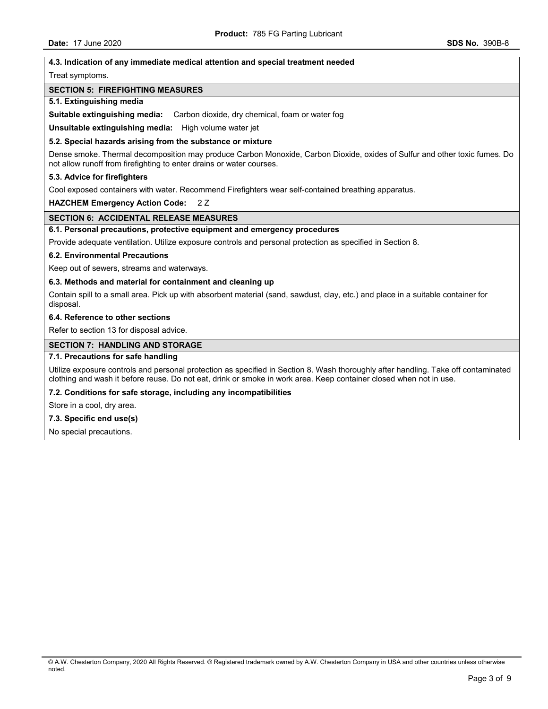#### **4.3. Indication of any immediate medical attention and special treatment needed**

#### Treat symptoms.

### **SECTION 5: FIREFIGHTING MEASURES**

#### **5.1. Extinguishing media**

**Suitable extinguishing media:** Carbon dioxide, dry chemical, foam or water fog

**Unsuitable extinguishing media:** High volume water jet

#### **5.2. Special hazards arising from the substance or mixture**

Dense smoke. Thermal decomposition may produce Carbon Monoxide, Carbon Dioxide, oxides of Sulfur and other toxic fumes. Do not allow runoff from firefighting to enter drains or water courses.

#### **5.3. Advice for firefighters**

Cool exposed containers with water. Recommend Firefighters wear self-contained breathing apparatus.

**HAZCHEM Emergency Action Code:** 2 Z

## **SECTION 6: ACCIDENTAL RELEASE MEASURES**

#### **6.1. Personal precautions, protective equipment and emergency procedures**

Provide adequate ventilation. Utilize exposure controls and personal protection as specified in Section 8.

#### **6.2. Environmental Precautions**

Keep out of sewers, streams and waterways.

## **6.3. Methods and material for containment and cleaning up**

Contain spill to a small area. Pick up with absorbent material (sand, sawdust, clay, etc.) and place in a suitable container for disposal.

### **6.4. Reference to other sections**

Refer to section 13 for disposal advice.

### **SECTION 7: HANDLING AND STORAGE**

## **7.1. Precautions for safe handling**

Utilize exposure controls and personal protection as specified in Section 8. Wash thoroughly after handling. Take off contaminated clothing and wash it before reuse. Do not eat, drink or smoke in work area. Keep container closed when not in use.

### **7.2. Conditions for safe storage, including any incompatibilities**

Store in a cool, dry area.

## **7.3. Specific end use(s)**

No special precautions.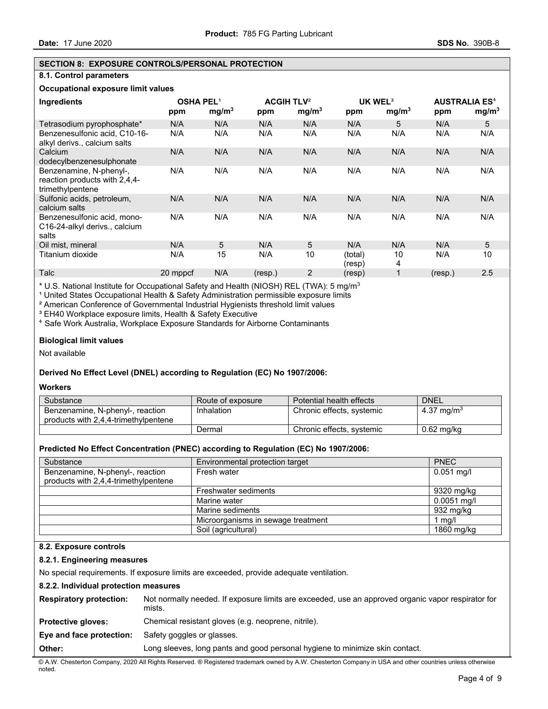## **SECTION 8: EXPOSURE CONTROLS/PERSONAL PROTECTION**

## **8.1. Control parameters**

# **Occupational exposure limit values**

| Ingredients                                                                  | <b>OSHA PEL1</b><br>ppm | mg/m <sup>3</sup> | ppm     | <b>ACGIH TLV<sup>2</sup></b><br>mg/m <sup>3</sup> | ppm               | UK WEL <sup>3</sup><br>mg/m <sup>3</sup> | ppm     | <b>AUSTRALIA ES<sup>4</sup></b><br>mg/m <sup>3</sup> |
|------------------------------------------------------------------------------|-------------------------|-------------------|---------|---------------------------------------------------|-------------------|------------------------------------------|---------|------------------------------------------------------|
| Tetrasodium pyrophosphate*                                                   | N/A                     | N/A               | N/A     | N/A                                               | N/A               | 5                                        | N/A     | 5                                                    |
| Benzenesulfonic acid, C10-16-<br>alkyl derivs., calcium salts                | N/A                     | N/A               | N/A     | N/A                                               | N/A               | N/A                                      | N/A     | N/A                                                  |
| Calcium<br>dodecylbenzenesulphonate                                          | N/A                     | N/A               | N/A     | N/A                                               | N/A               | N/A                                      | N/A     | N/A                                                  |
| Benzenamine, N-phenyl-,<br>reaction products with 2,4,4-<br>trimethylpentene | N/A                     | N/A               | N/A     | N/A                                               | N/A               | N/A                                      | N/A     | N/A                                                  |
| Sulfonic acids, petroleum,<br>calcium salts                                  | N/A                     | N/A               | N/A     | N/A                                               | N/A               | N/A                                      | N/A     | N/A                                                  |
| Benzenesulfonic acid, mono-<br>C16-24-alkyl derivs., calcium<br>salts        | N/A                     | N/A               | N/A     | N/A                                               | N/A               | N/A                                      | N/A     | N/A                                                  |
| Oil mist, mineral                                                            | N/A                     | 5                 | N/A     | 5                                                 | N/A               | N/A                                      | N/A     | 5                                                    |
| Titanium dioxide                                                             | N/A                     | 15                | N/A     | 10                                                | (total)<br>(resp) | 10<br>4                                  | N/A     | 10                                                   |
| Talc                                                                         | 20 mppcf                | N/A               | (resp.) | 2                                                 | (resp)            |                                          | (resp.) | 2.5                                                  |

\* U.S. National Institute for Occupational Safety and Health (NIOSH) REL (TWA): 5 mg/m3

<sup>1</sup> United States Occupational Health & Safety Administration permissible exposure limits

² American Conference of Governmental Industrial Hygienists threshold limit values

<sup>3</sup> EH40 Workplace exposure limits, Health & Safety Executive

⁴ Safe Work Australia, Workplace Exposure Standards for Airborne Contaminants

### **Biological limit values**

Not available

## **Derived No Effect Level (DNEL) according to Regulation (EC) No 1907/2006:**

#### **Workers**

| Substance                                                                | Route of exposure | Potential health effects  | <b>DNEL</b>            |
|--------------------------------------------------------------------------|-------------------|---------------------------|------------------------|
| Benzenamine, N-phenyl-, reaction<br>products with 2,4,4-trimethylpentene | Inhalation        | Chronic effects, systemic | 4.37 mg/m <sup>3</sup> |
|                                                                          | Dermal            | Chronic effects, systemic | 0.62 mg/kg             |

#### **Predicted No Effect Concentration (PNEC) according to Regulation (EC) No 1907/2006:**

| Substance                                                                | Environmental protection target    | <b>PNEC</b>   |
|--------------------------------------------------------------------------|------------------------------------|---------------|
| Benzenamine, N-phenyl-, reaction<br>products with 2,4,4-trimethylpentene | Fresh water                        | $0.051$ mg/l  |
|                                                                          | Freshwater sediments               | 9320 mg/kg    |
|                                                                          | Marine water                       | $0.0051$ mg/l |
|                                                                          | Marine sediments                   | 932 mg/kg     |
|                                                                          | Microorganisms in sewage treatment | mg/l          |
|                                                                          | Soil (agricultural)                | 1860 mg/kg    |

## **8.2. Exposure controls**

### **8.2.1. Engineering measures**

No special requirements. If exposure limits are exceeded, provide adequate ventilation.

## **8.2.2. Individual protection measures**

| <b>Respiratory protection:</b> | Not normally needed. If exposure limits are exceeded, use an approved organic vapor respirator for<br>mists. |
|--------------------------------|--------------------------------------------------------------------------------------------------------------|
| <b>Protective gloves:</b>      | Chemical resistant gloves (e.g. neoprene, nitrile).                                                          |
| Eye and face protection:       | Safety goggles or glasses.                                                                                   |
| Other:                         | Long sleeves, long pants and good personal hygiene to minimize skin contact.                                 |

© A.W. Chesterton Company, 2020 All Rights Reserved. ® Registered trademark owned by A.W. Chesterton Company in USA and other countries unless otherwise noted.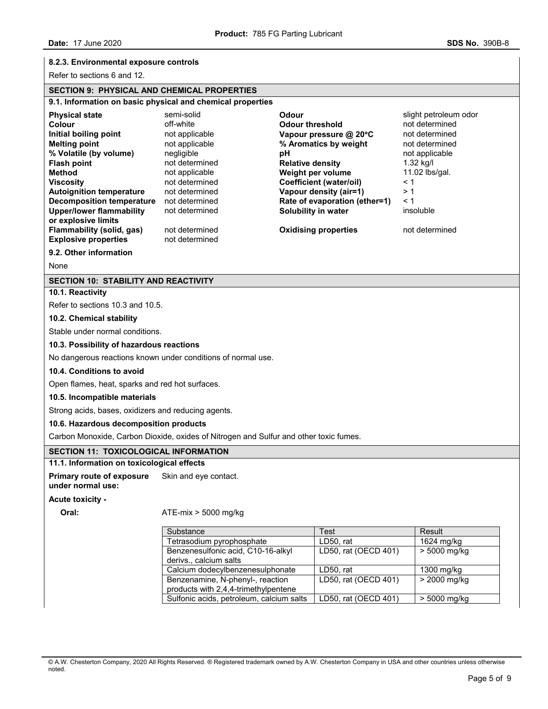# **8.2.3. Environmental exposure controls**

Refer to sections 6 and 12.

## **SECTION 9: PHYSICAL AND CHEMICAL PROPERTIES**

# **9.1. Information on basic physical and chemical properties Physical state Semi-solid Odour Odour Slight petroleum odor Physical state Slight petroleum odor Colour** off-white **Odour threshold** not determined **Initial boiling point** not applicable **Vapour pressure @ 20**°**C** not determined **Melting point** not applicable **% Aromatics by weight** not determined **% Volatile (by volume)** negligible **pH** not applicable **Flash point** not determined **Relative density** 1.32 kg/l **Method** not applicable **Weight per volume** 11.02 lbs/gal. **Viscosity** not determined **Coefficient (water/oil)** < 1 **Autoignition temperature** not determined **Vapour density (air=1)** > 1 **Decomposition temperature** not determined **Rate of evaporation (ether=1)** < 1 **Upper/lower flammability or explosive limits**  not determined **Solubility in water** insoluble **Flammability (solid, gas)** not determined **Oxidising properties** not determined **Explosive properties** not determined **9.2. Other information**  None **SECTION 10: STABILITY AND REACTIVITY 10.1. Reactivity**  Refer to sections 10.3 and 10.5. **10.2. Chemical stability**  Stable under normal conditions. **10.3. Possibility of hazardous reactions**  No dangerous reactions known under conditions of normal use. **10.4. Conditions to avoid**  Open flames, heat, sparks and red hot surfaces. **10.5. Incompatible materials**  Strong acids, bases, oxidizers and reducing agents. **10.6. Hazardous decomposition products**  Carbon Monoxide, Carbon Dioxide, oxides of Nitrogen and Sulfur and other toxic fumes. **SECTION 11: TOXICOLOGICAL INFORMATION 11.1. Information on toxicological effects Primary route of exposure under normal use:**  Skin and eye contact. **Acute toxicity - Oral:** ATE-mix > 5000 mg/kg Substance Test Test Result<br>Tetrasodium pyrophosphate LD50, rat 1624 mg/kg

|       | © A.W. Chesterton Company, 2020 All Rights Reserved. ® Registered trademark owned by A.W. Chesterton Company in USA and other countries unless otherwise |  |  |  |
|-------|----------------------------------------------------------------------------------------------------------------------------------------------------------|--|--|--|
| noted |                                                                                                                                                          |  |  |  |

Calcium dodecylbenzenesulphonate | LD50, rat | 1300 mg/kg

Sulfonic acids, petroleum, calcium salts  $\vert$  LD50, rat (OECD 401)  $\vert$  > 5000 mg/kg

Tetrasodium pyrophosphate | LD50, rat

Benzenesulfonic acid, C10-16-alkyl

Benzenamine, N-phenyl-, reaction products with 2,4,4-trimethylpentene

derivs., calcium salts

LD50, rat (OECD 401) > 5000 mg/kg

LD50, rat (OECD 401) > 2000 mg/kg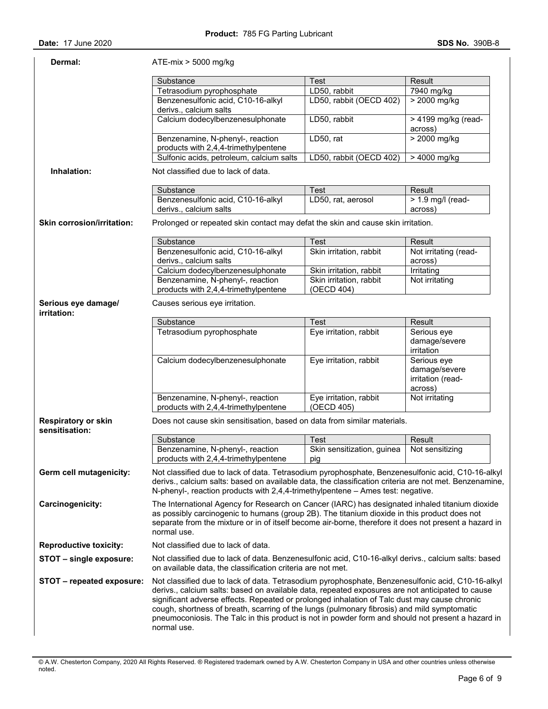| Dermal:                                      | $ATE-mix > 5000$ mg/kg                                                                                                                                                                                                                                                                                                                                                                                                                                                                                                                                                                  |                                          |                                                              |  |  |
|----------------------------------------------|-----------------------------------------------------------------------------------------------------------------------------------------------------------------------------------------------------------------------------------------------------------------------------------------------------------------------------------------------------------------------------------------------------------------------------------------------------------------------------------------------------------------------------------------------------------------------------------------|------------------------------------------|--------------------------------------------------------------|--|--|
|                                              | Substance                                                                                                                                                                                                                                                                                                                                                                                                                                                                                                                                                                               | <b>Test</b>                              | Result                                                       |  |  |
|                                              | Tetrasodium pyrophosphate                                                                                                                                                                                                                                                                                                                                                                                                                                                                                                                                                               | LD50, rabbit                             | 7940 mg/kg                                                   |  |  |
|                                              | Benzenesulfonic acid, C10-16-alkyl<br>derivs., calcium salts                                                                                                                                                                                                                                                                                                                                                                                                                                                                                                                            | LD50, rabbit (OECD 402)                  | > 2000 mg/kg                                                 |  |  |
|                                              | Calcium dodecylbenzenesulphonate                                                                                                                                                                                                                                                                                                                                                                                                                                                                                                                                                        | LD50, rabbit                             | > 4199 mg/kg (read-<br>across)                               |  |  |
|                                              | Benzenamine, N-phenyl-, reaction<br>products with 2,4,4-trimethylpentene                                                                                                                                                                                                                                                                                                                                                                                                                                                                                                                | LD50, rat                                | $> 2000$ mg/kg                                               |  |  |
|                                              | Sulfonic acids, petroleum, calcium salts                                                                                                                                                                                                                                                                                                                                                                                                                                                                                                                                                | LD50, rabbit (OECD 402)                  | > 4000 mg/kg                                                 |  |  |
| Inhalation:                                  | Not classified due to lack of data.                                                                                                                                                                                                                                                                                                                                                                                                                                                                                                                                                     |                                          |                                                              |  |  |
|                                              | Substance                                                                                                                                                                                                                                                                                                                                                                                                                                                                                                                                                                               | Test                                     | Result                                                       |  |  |
|                                              | Benzenesulfonic acid, C10-16-alkyl                                                                                                                                                                                                                                                                                                                                                                                                                                                                                                                                                      | LD50, rat, aerosol                       | $> 1.9$ mg/l (read-                                          |  |  |
|                                              | derivs., calcium salts                                                                                                                                                                                                                                                                                                                                                                                                                                                                                                                                                                  |                                          | across)                                                      |  |  |
| <b>Skin corrosion/irritation:</b>            | Prolonged or repeated skin contact may defat the skin and cause skin irritation.                                                                                                                                                                                                                                                                                                                                                                                                                                                                                                        |                                          |                                                              |  |  |
|                                              | Substance                                                                                                                                                                                                                                                                                                                                                                                                                                                                                                                                                                               | <b>Test</b>                              | Result                                                       |  |  |
|                                              | Benzenesulfonic acid, C10-16-alkyl<br>derivs., calcium salts                                                                                                                                                                                                                                                                                                                                                                                                                                                                                                                            | Skin irritation, rabbit                  | Not irritating (read-<br>across)                             |  |  |
|                                              | Calcium dodecylbenzenesulphonate                                                                                                                                                                                                                                                                                                                                                                                                                                                                                                                                                        | Skin irritation, rabbit                  | Irritating                                                   |  |  |
|                                              | Benzenamine, N-phenyl-, reaction                                                                                                                                                                                                                                                                                                                                                                                                                                                                                                                                                        | Skin irritation, rabbit                  | Not irritating                                               |  |  |
| Serious eye damage/                          | products with 2,4,4-trimethylpentene<br>Causes serious eye irritation.                                                                                                                                                                                                                                                                                                                                                                                                                                                                                                                  | (OECD 404)                               |                                                              |  |  |
| irritation:                                  |                                                                                                                                                                                                                                                                                                                                                                                                                                                                                                                                                                                         |                                          |                                                              |  |  |
|                                              | Substance                                                                                                                                                                                                                                                                                                                                                                                                                                                                                                                                                                               | <b>Test</b>                              | Result                                                       |  |  |
|                                              | Tetrasodium pyrophosphate                                                                                                                                                                                                                                                                                                                                                                                                                                                                                                                                                               | Eye irritation, rabbit                   | Serious eye<br>damage/severe<br>irritation                   |  |  |
|                                              | Calcium dodecylbenzenesulphonate                                                                                                                                                                                                                                                                                                                                                                                                                                                                                                                                                        | Eye irritation, rabbit                   | Serious eye<br>damage/severe<br>irritation (read-<br>across) |  |  |
|                                              | Benzenamine, N-phenyl-, reaction<br>products with 2,4,4-trimethylpentene                                                                                                                                                                                                                                                                                                                                                                                                                                                                                                                | Eye irritation, rabbit<br>(OECD 405)     | Not irritating                                               |  |  |
| <b>Respiratory or skin</b><br>sensitisation: | Does not cause skin sensitisation, based on data from similar materials.                                                                                                                                                                                                                                                                                                                                                                                                                                                                                                                |                                          |                                                              |  |  |
|                                              | Substance                                                                                                                                                                                                                                                                                                                                                                                                                                                                                                                                                                               | <b>Test</b>                              | Result                                                       |  |  |
|                                              | Benzenamine, N-phenyl-, reaction<br>products with 2,4,4-trimethylpentene                                                                                                                                                                                                                                                                                                                                                                                                                                                                                                                | Skin sensitization, guinea<br>$\Box$ pig | Not sensitizing                                              |  |  |
| Germ cell mutagenicity:                      | Not classified due to lack of data. Tetrasodium pyrophosphate, Benzenesulfonic acid, C10-16-alkyl<br>derivs., calcium salts: based on available data, the classification criteria are not met. Benzenamine,<br>N-phenyl-, reaction products with $2,4,4$ -trimethylpentene $-$ Ames test: negative.                                                                                                                                                                                                                                                                                     |                                          |                                                              |  |  |
| Carcinogenicity:                             | The International Agency for Research on Cancer (IARC) has designated inhaled titanium dioxide<br>as possibly carcinogenic to humans (group 2B). The titanium dioxide in this product does not<br>separate from the mixture or in of itself become air-borne, therefore it does not present a hazard in<br>normal use.                                                                                                                                                                                                                                                                  |                                          |                                                              |  |  |
| <b>Reproductive toxicity:</b>                | Not classified due to lack of data.                                                                                                                                                                                                                                                                                                                                                                                                                                                                                                                                                     |                                          |                                                              |  |  |
| STOT – single exposure:                      | Not classified due to lack of data. Benzenesulfonic acid, C10-16-alkyl derivs., calcium salts: based                                                                                                                                                                                                                                                                                                                                                                                                                                                                                    |                                          |                                                              |  |  |
| STOT - repeated exposure:                    | on available data, the classification criteria are not met.<br>Not classified due to lack of data. Tetrasodium pyrophosphate, Benzenesulfonic acid, C10-16-alkyl<br>derivs., calcium salts: based on available data, repeated exposures are not anticipated to cause<br>significant adverse effects. Repeated or prolonged inhalation of Talc dust may cause chronic<br>cough, shortness of breath, scarring of the lungs (pulmonary fibrosis) and mild symptomatic<br>pneumoconiosis. The Talc in this product is not in powder form and should not present a hazard in<br>normal use. |                                          |                                                              |  |  |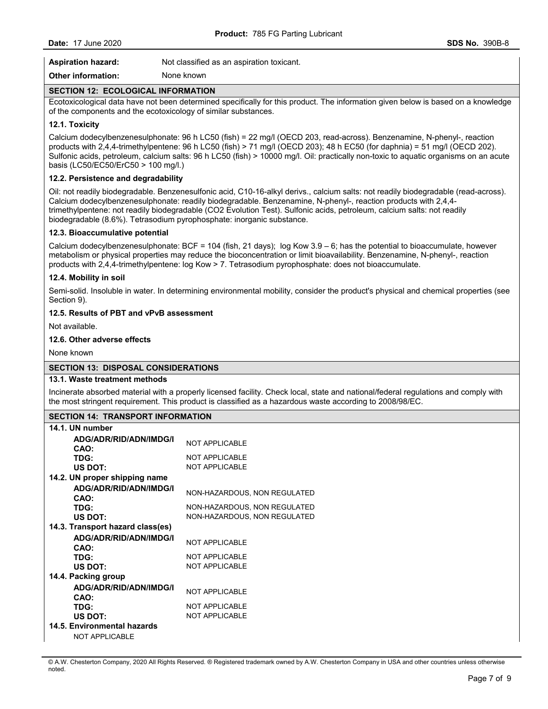| <b>Aspiration hazard:</b> | Not classified as an aspiration toxicant. |
|---------------------------|-------------------------------------------|
| Other information:        | None known                                |

## **SECTION 12: ECOLOGICAL INFORMATION**

Ecotoxicological data have not been determined specifically for this product. The information given below is based on a knowledge of the components and the ecotoxicology of similar substances.

## **12.1. Toxicity**

Calcium dodecylbenzenesulphonate: 96 h LC50 (fish) = 22 mg/l (OECD 203, read-across). Benzenamine, N-phenyl-, reaction products with 2,4,4-trimethylpentene: 96 h LC50 (fish) > 71 mg/l (OECD 203); 48 h EC50 (for daphnia) = 51 mg/l (OECD 202). Sulfonic acids, petroleum, calcium salts: 96 h LC50 (fish) > 10000 mg/l. Oil: practically non-toxic to aquatic organisms on an acute basis (LC50/EC50/ErC50 > 100 mg/l.)

## **12.2. Persistence and degradability**

Oil: not readily biodegradable. Benzenesulfonic acid, C10-16-alkyl derivs., calcium salts: not readily biodegradable (read-across). Calcium dodecylbenzenesulphonate: readily biodegradable. Benzenamine, N-phenyl-, reaction products with 2,4,4 trimethylpentene: not readily biodegradable (CO2 Evolution Test). Sulfonic acids, petroleum, calcium salts: not readily biodegradable (8.6%). Tetrasodium pyrophosphate: inorganic substance.

### **12.3. Bioaccumulative potential**

Calcium dodecylbenzenesulphonate: BCF = 104 (fish, 21 days); log Kow 3.9 – 6; has the potential to bioaccumulate, however metabolism or physical properties may reduce the bioconcentration or limit bioavailability. Benzenamine, N-phenyl-, reaction products with 2,4,4-trimethylpentene: log Kow > 7. Tetrasodium pyrophosphate: does not bioaccumulate.

### **12.4. Mobility in soil**

Semi-solid. Insoluble in water. In determining environmental mobility, consider the product's physical and chemical properties (see Section 9).

### **12.5. Results of PBT and vPvB assessment**

Not available.

### **12.6. Other adverse effects**

None known

## **SECTION 13: DISPOSAL CONSIDERATIONS**

#### **13.1. Waste treatment methods**

Incinerate absorbed material with a properly licensed facility. Check local, state and national/federal regulations and comply with the most stringent requirement. This product is classified as a hazardous waste according to 2008/98/EC.

# **SECTION 14: TRANSPORT INFORMATION**

| יוסווראוויט וויו וזיט וטורעוד הדו ווטוויט |                              |
|-------------------------------------------|------------------------------|
| 14.1. UN number                           |                              |
| ADG/ADR/RID/ADN/IMDG/I<br>CAO:            | <b>NOT APPLICABLE</b>        |
| TDG:                                      | <b>NOT APPLICABLE</b>        |
| US DOT:                                   | <b>NOT APPLICABLE</b>        |
| 14.2. UN proper shipping name             |                              |
| ADG/ADR/RID/ADN/IMDG/I<br>CAO:            | NON-HAZARDOUS, NON REGULATED |
| TDG:                                      | NON-HAZARDOUS, NON REGULATED |
| US DOT:                                   | NON-HAZARDOUS, NON REGULATED |
| 14.3. Transport hazard class(es)          |                              |
| ADG/ADR/RID/ADN/IMDG/I<br>CAO:            | <b>NOT APPLICABLE</b>        |
| TDG:                                      | <b>NOT APPLICABLE</b>        |
| US DOT:                                   | <b>NOT APPLICABLE</b>        |
| 14.4. Packing group                       |                              |
| ADG/ADR/RID/ADN/IMDG/I<br>CAO:            | <b>NOT APPLICABLE</b>        |
| TDG:                                      | <b>NOT APPLICABLE</b>        |
| US DOT:                                   | <b>NOT APPLICABLE</b>        |
| 14.5. Environmental hazards               |                              |
| NOT APPLICABLE                            |                              |

© A.W. Chesterton Company, 2020 All Rights Reserved. ® Registered trademark owned by A.W. Chesterton Company in USA and other countries unless otherwise noted.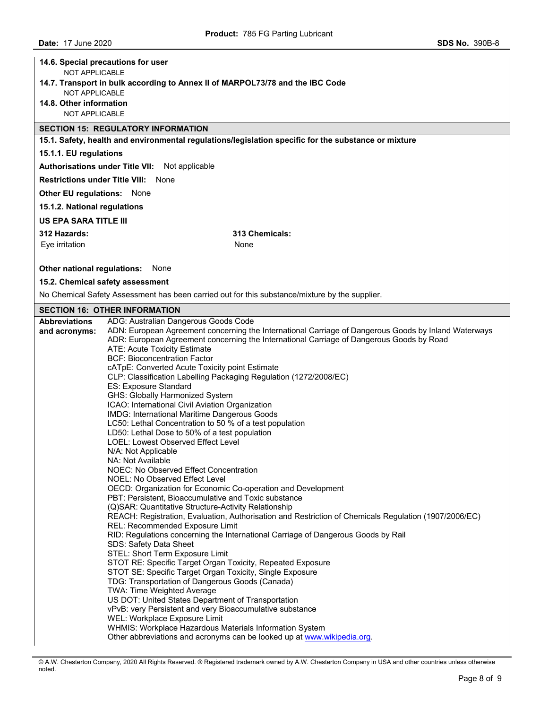|                                                                               | 14.6. Special precautions for user                                                                                                                |  |  |  |  |  |  |
|-------------------------------------------------------------------------------|---------------------------------------------------------------------------------------------------------------------------------------------------|--|--|--|--|--|--|
| NOT APPLICABLE                                                                |                                                                                                                                                   |  |  |  |  |  |  |
| 14.7. Transport in bulk according to Annex II of MARPOL73/78 and the IBC Code |                                                                                                                                                   |  |  |  |  |  |  |
| NOT APPLICABLE                                                                |                                                                                                                                                   |  |  |  |  |  |  |
| 14.8. Other information<br>NOT APPLICABLE                                     |                                                                                                                                                   |  |  |  |  |  |  |
|                                                                               |                                                                                                                                                   |  |  |  |  |  |  |
|                                                                               | <b>SECTION 15: REGULATORY INFORMATION</b><br>15.1. Safety, health and environmental regulations/legislation specific for the substance or mixture |  |  |  |  |  |  |
| 15.1.1. EU regulations                                                        |                                                                                                                                                   |  |  |  |  |  |  |
|                                                                               | Authorisations under Title VII: Not applicable                                                                                                    |  |  |  |  |  |  |
|                                                                               | <b>Restrictions under Title VIII: None</b>                                                                                                        |  |  |  |  |  |  |
|                                                                               |                                                                                                                                                   |  |  |  |  |  |  |
| <b>Other EU regulations: None</b>                                             |                                                                                                                                                   |  |  |  |  |  |  |
| 15.1.2. National regulations                                                  |                                                                                                                                                   |  |  |  |  |  |  |
| <b>US EPA SARA TITLE III</b>                                                  |                                                                                                                                                   |  |  |  |  |  |  |
| 312 Hazards:                                                                  | 313 Chemicals:                                                                                                                                    |  |  |  |  |  |  |
| Eye irritation                                                                | None                                                                                                                                              |  |  |  |  |  |  |
|                                                                               |                                                                                                                                                   |  |  |  |  |  |  |
| Other national regulations:                                                   | None                                                                                                                                              |  |  |  |  |  |  |
|                                                                               | 15.2. Chemical safety assessment                                                                                                                  |  |  |  |  |  |  |
|                                                                               | No Chemical Safety Assessment has been carried out for this substance/mixture by the supplier.                                                    |  |  |  |  |  |  |
| <b>Abbreviations</b>                                                          | <b>SECTION 16: OTHER INFORMATION</b><br>ADG: Australian Dangerous Goods Code                                                                      |  |  |  |  |  |  |
| and acronyms:                                                                 | ADN: European Agreement concerning the International Carriage of Dangerous Goods by Inland Waterways                                              |  |  |  |  |  |  |
|                                                                               | ADR: European Agreement concerning the International Carriage of Dangerous Goods by Road                                                          |  |  |  |  |  |  |
|                                                                               | ATE: Acute Toxicity Estimate                                                                                                                      |  |  |  |  |  |  |
|                                                                               | <b>BCF: Bioconcentration Factor</b>                                                                                                               |  |  |  |  |  |  |
|                                                                               | cATpE: Converted Acute Toxicity point Estimate<br>CLP: Classification Labelling Packaging Regulation (1272/2008/EC)                               |  |  |  |  |  |  |
|                                                                               | ES: Exposure Standard                                                                                                                             |  |  |  |  |  |  |
|                                                                               | GHS: Globally Harmonized System                                                                                                                   |  |  |  |  |  |  |
|                                                                               | ICAO: International Civil Aviation Organization                                                                                                   |  |  |  |  |  |  |
|                                                                               | IMDG: International Maritime Dangerous Goods<br>LC50: Lethal Concentration to 50 % of a test population                                           |  |  |  |  |  |  |
|                                                                               | LD50: Lethal Dose to 50% of a test population                                                                                                     |  |  |  |  |  |  |
|                                                                               | LOEL: Lowest Observed Effect Level                                                                                                                |  |  |  |  |  |  |
|                                                                               | N/A: Not Applicable                                                                                                                               |  |  |  |  |  |  |
|                                                                               | NA: Not Available                                                                                                                                 |  |  |  |  |  |  |
|                                                                               | NOEC: No Observed Effect Concentration<br>NOEL: No Observed Effect Level                                                                          |  |  |  |  |  |  |
|                                                                               | OECD: Organization for Economic Co-operation and Development                                                                                      |  |  |  |  |  |  |
|                                                                               | PBT: Persistent, Bioaccumulative and Toxic substance                                                                                              |  |  |  |  |  |  |
|                                                                               | (Q)SAR: Quantitative Structure-Activity Relationship                                                                                              |  |  |  |  |  |  |
|                                                                               | REACH: Registration, Evaluation, Authorisation and Restriction of Chemicals Regulation (1907/2006/EC)<br>REL: Recommended Exposure Limit          |  |  |  |  |  |  |
|                                                                               | RID: Regulations concerning the International Carriage of Dangerous Goods by Rail                                                                 |  |  |  |  |  |  |
|                                                                               | SDS: Safety Data Sheet                                                                                                                            |  |  |  |  |  |  |
|                                                                               | STEL: Short Term Exposure Limit                                                                                                                   |  |  |  |  |  |  |
|                                                                               | STOT RE: Specific Target Organ Toxicity, Repeated Exposure<br>STOT SE: Specific Target Organ Toxicity, Single Exposure                            |  |  |  |  |  |  |
|                                                                               | TDG: Transportation of Dangerous Goods (Canada)                                                                                                   |  |  |  |  |  |  |
|                                                                               | TWA: Time Weighted Average                                                                                                                        |  |  |  |  |  |  |
|                                                                               | US DOT: United States Department of Transportation                                                                                                |  |  |  |  |  |  |
|                                                                               | vPvB: very Persistent and very Bioaccumulative substance                                                                                          |  |  |  |  |  |  |
|                                                                               | WEL: Workplace Exposure Limit<br>WHMIS: Workplace Hazardous Materials Information System                                                          |  |  |  |  |  |  |
|                                                                               | Other abbreviations and acronyms can be looked up at www.wikipedia.org.                                                                           |  |  |  |  |  |  |